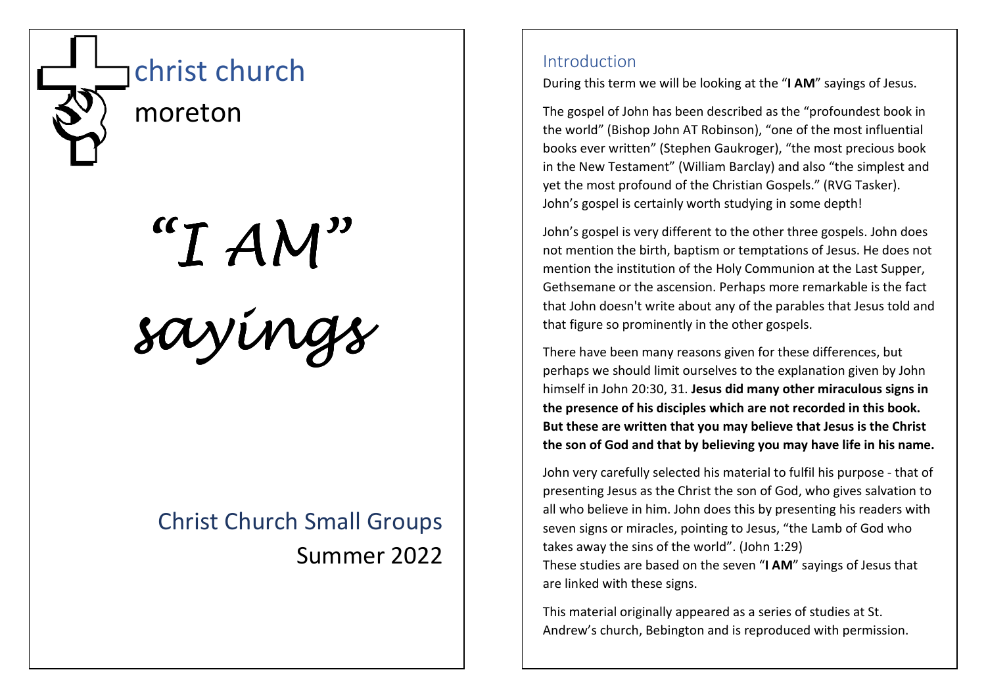

"I AM" sayings

# Christ Church Small Groups Summer 2022

# Introduction

During this term we will be looking at the "I AM" sayings of Jesus.

The gospel of John has been described as the "profoundest book in the world" (Bishop John AT Robinson), "one of the most influential books ever written" (Stephen Gaukroger), "the most precious book in the New Testament" (William Barclay) and also "the simplest and yet the most profound of the Christian Gospels." (RVG Tasker). John's gospel is certainly worth studying in some depth!

John's gospel is very different to the other three gospels. John does not mention the birth, baptism or temptations of Jesus. He does not mention the institution of the Holy Communion at the Last Supper, Gethsemane or the ascension. Perhaps more remarkable is the fact that John doesn't write about any of the parables that Jesus told and that figure so prominently in the other gospels.

There have been many reasons given for these differences, but perhaps we should limit ourselves to the explanation given by John himself in John 20:30, 31. Jesus did many other miraculous signs in the presence of his disciples which are not recorded in this book. But these are written that you may believe that Jesus is the Christ the son of God and that by believing you may have life in his name.

John very carefully selected his material to fulfil his purpose - that of presenting Jesus as the Christ the son of God, who gives salvation to all who believe in him. John does this by presenting his readers with seven signs or miracles, pointing to Jesus, "the Lamb of God who takes away the sins of the world". (John 1:29) These studies are based on the seven "I AM" sayings of Jesus that are linked with these signs.

This material originally appeared as a series of studies at St. Andrew's church, Bebington and is reproduced with permission.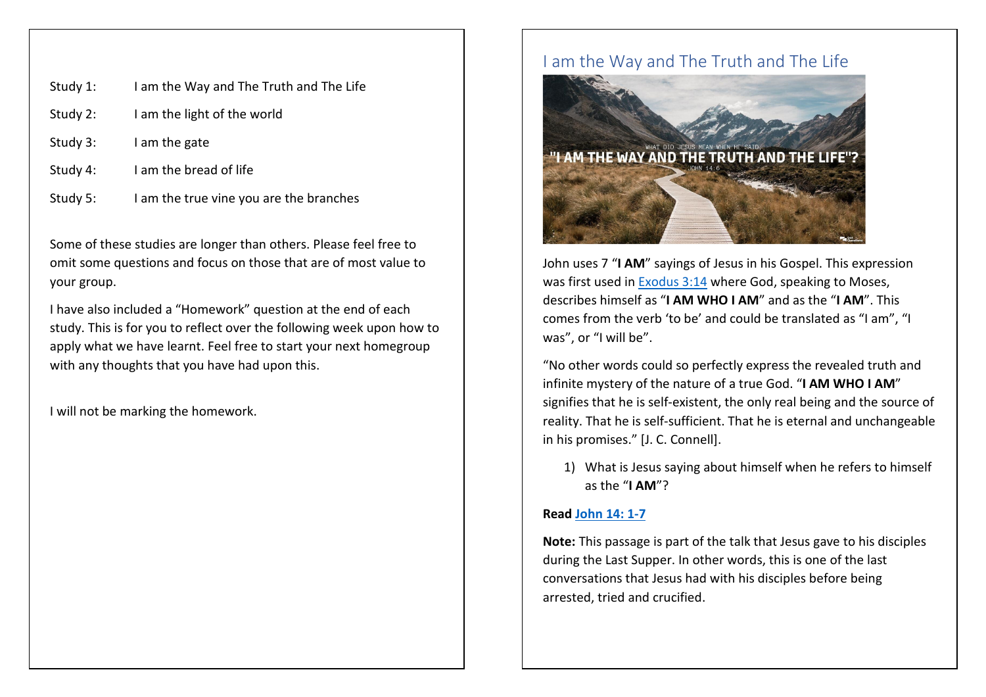| Study 1: | I am the Way and The Truth and The Life |
|----------|-----------------------------------------|
| Study 2: | I am the light of the world             |
| Study 3: | I am the gate                           |
| Study 4: | I am the bread of life                  |
| Study 5: | I am the true vine you are the branches |

Some of these studies are longer than others. Please feel free to omit some questions and focus on those that are of most value to your group.

I have also included a "Homework" question at the end of each study. This is for you to reflect over the following week upon how to apply what we have learnt. Feel free to start your next homegroup with any thoughts that you have had upon this.

I will not be marking the homework.

## I am the Way and The Truth and The Life



John uses 7 "I AM" sayings of Jesus in his Gospel. This expression was first used in Exodus 3:14 where God, speaking to Moses, describes himself as "I AM WHO I AM" and as the "I AM". This comes from the verb 'to be' and could be translated as "I am", "I was", or "I will be".

"No other words could so perfectly express the revealed truth and infinite mystery of the nature of a true God. "I AM WHO I AM" signifies that he is self-existent, the only real being and the source of reality. That he is self-sufficient. That he is eternal and unchangeable in his promises." [J. C. Connell].

1) What is Jesus saying about himself when he refers to himself as the "I AM"?

### Read John 14: 1-7

Note: This passage is part of the talk that Jesus gave to his disciples during the Last Supper. In other words, this is one of the last conversations that Jesus had with his disciples before being arrested, tried and crucified.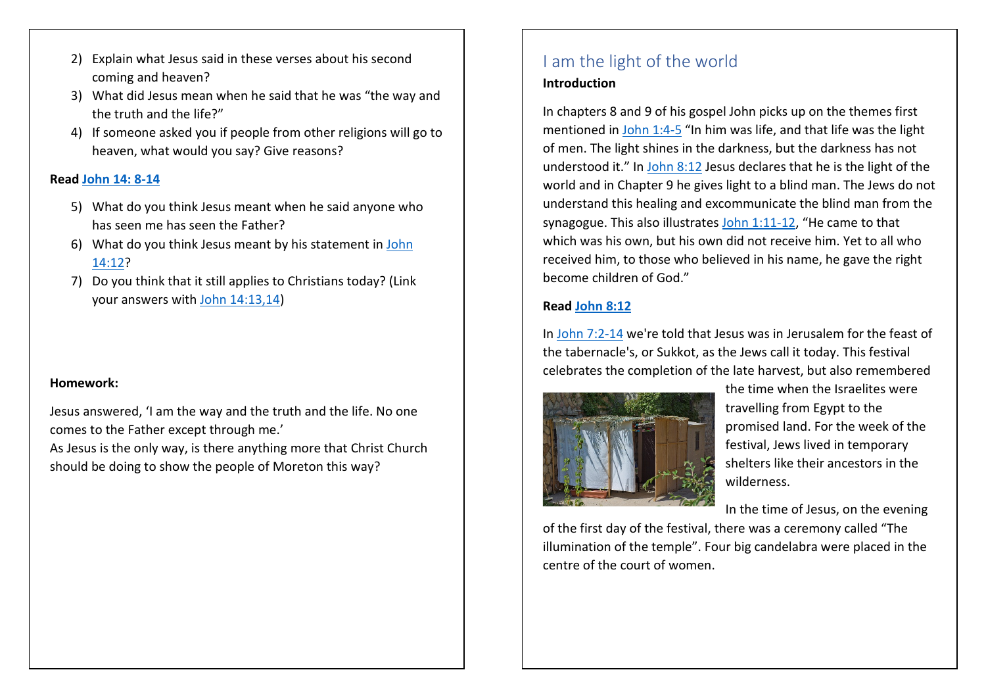- 2) Explain what Jesus said in these verses about his second coming and heaven?
- 3) What did Jesus mean when he said that he was "the way and the truth and the life?"
- 4) If someone asked you if people from other religions will go to heaven, what would you say? Give reasons?

### Read John 14: 8-14

- 5) What do you think Jesus meant when he said anyone who has seen me has seen the Father?
- 6) What do you think Jesus meant by his statement in <u>John</u> 14:12?
- 7) Do you think that it still applies to Christians today? (Link your answers with John 14:13,14)

### Homework:

Jesus answered, 'I am the way and the truth and the life. No one comes to the Father except through me.'

As Jesus is the only way, is there anything more that Christ Church should be doing to show the people of Moreton this way?

# I am the light of the world Introduction

In chapters 8 and 9 of his gospel John picks up on the themes first mentioned in John 1:4-5 "In him was life, and that life was the light of men. The light shines in the darkness, but the darkness has not understood it." In John 8:12 Jesus declares that he is the light of the world and in Chapter 9 he gives light to a blind man. The Jews do not understand this healing and excommunicate the blind man from the synagogue. This also illustrates John 1:11-12, "He came to that which was his own, but his own did not receive him. Yet to all who received him, to those who believed in his name, he gave the right become children of God."

### Read John 8:12

In John 7:2-14 we're told that Jesus was in Jerusalem for the feast of the tabernacle's, or Sukkot, as the Jews call it today. This festival celebrates the completion of the late harvest, but also remembered



the time when the Israelites were travelling from Egypt to the promised land. For the week of the festival, Jews lived in temporary shelters like their ancestors in the wilderness.

In the time of Jesus, on the evening

of the first day of the festival, there was a ceremony called "The illumination of the temple". Four big candelabra were placed in the centre of the court of women.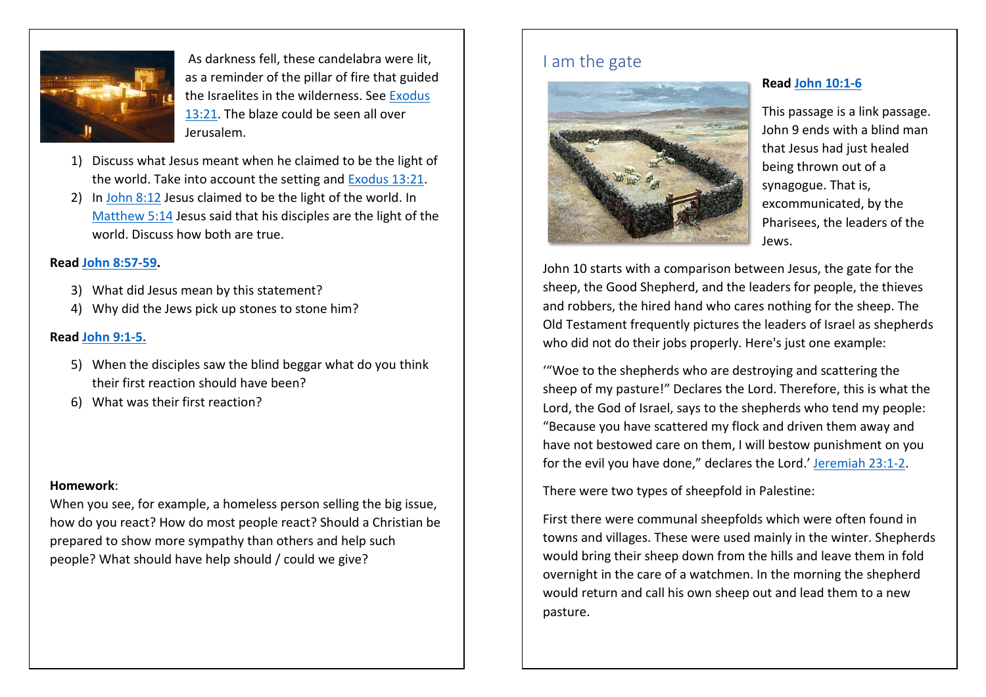

 As darkness fell, these candelabra were lit, as a reminder of the pillar of fire that guided the Israelites in the wilderness. See Exodus 13:21. The blaze could be seen all over Jerusalem.

- 1) Discuss what Jesus meant when he claimed to be the light of the world. Take into account the setting and Exodus 13:21.
- 2) In John 8:12 Jesus claimed to be the light of the world. In Matthew 5:14 Jesus said that his disciples are the light of theworld. Discuss how both are true.

### Read John 8:57-59.

- 3) What did Jesus mean by this statement?
- 4) Why did the Jews pick up stones to stone him?

### Read John 9:1-5.

- 5) When the disciples saw the blind beggar what do you think their first reaction should have been?
- 6) What was their first reaction?

### Homework:

When you see, for example, a homeless person selling the big issue, how do you react? How do most people react? Should a Christian be prepared to show more sympathy than others and help such people? What should have help should / could we give?

# I am the gate



### Read John 10:1-6

This passage is a link passage. John 9 ends with a blind man that Jesus had just healed being thrown out of a synagogue. That is, excommunicated, by the Pharisees, the leaders of the Jews.

John 10 starts with a comparison between Jesus, the gate for the sheep, the Good Shepherd, and the leaders for people, the thieves and robbers, the hired hand who cares nothing for the sheep. The Old Testament frequently pictures the leaders of Israel as shepherds who did not do their jobs properly. Here's just one example:

'"Woe to the shepherds who are destroying and scattering the sheep of my pasture!" Declares the Lord. Therefore, this is what the Lord, the God of Israel, says to the shepherds who tend my people: "Because you have scattered my flock and driven them away and have not bestowed care on them, I will bestow punishment on you for the evil you have done," declares the Lord.' Jeremiah 23:1-2.

There were two types of sheepfold in Palestine:

First there were communal sheepfolds which were often found in towns and villages. These were used mainly in the winter. Shepherds would bring their sheep down from the hills and leave them in fold overnight in the care of a watchmen. In the morning the shepherd would return and call his own sheep out and lead them to a new pasture.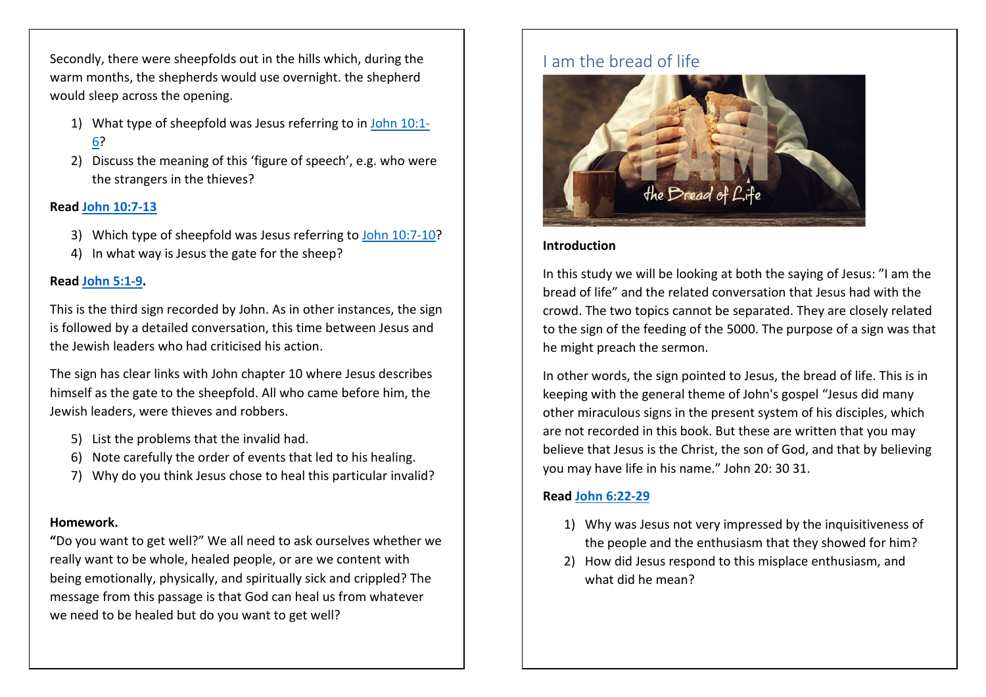Secondly, there were sheepfolds out in the hills which, during the warm months, the shepherds would use overnight. the shepherd would sleep across the opening.

- 1) What type of sheepfold was Jesus referring to in <u>John 10:1-</u> 6?
- 2) Discuss the meaning of this 'figure of speech', e.g. who were the strangers in the thieves?

### Read John 10:7-13

- 3) Which type of sheepfold was Jesus referring to John 10:7-10?
- 4) In what way is Jesus the gate for the sheep?

#### Read John 5:1-9.

This is the third sign recorded by John. As in other instances, the sign is followed by a detailed conversation, this time between Jesus and the Jewish leaders who had criticised his action.

The sign has clear links with John chapter 10 where Jesus describes himself as the gate to the sheepfold. All who came before him, the Jewish leaders, were thieves and robbers.

- 5) List the problems that the invalid had.
- 6) Note carefully the order of events that led to his healing.
- 7) Why do you think Jesus chose to heal this particular invalid?

### Homework.

"Do you want to get well?" We all need to ask ourselves whether we really want to be whole, healed people, or are we content with being emotionally, physically, and spiritually sick and crippled? The message from this passage is that God can heal us from whatever we need to be healed but do you want to get well?

# I am the bread of life



### Introduction

In this study we will be looking at both the saying of Jesus: "I am the bread of life" and the related conversation that Jesus had with the crowd. The two topics cannot be separated. They are closely related to the sign of the feeding of the 5000. The purpose of a sign was that he might preach the sermon.

In other words, the sign pointed to Jesus, the bread of life. This is in keeping with the general theme of John's gospel "Jesus did many other miraculous signs in the present system of his disciples, which are not recorded in this book. But these are written that you may believe that Jesus is the Christ, the son of God, and that by believing you may have life in his name." John 20: 30 31.

### Read John 6:22-29

- 1) Why was Jesus not very impressed by the inquisitiveness of the people and the enthusiasm that they showed for him?
- 2) How did Jesus respond to this misplace enthusiasm, and what did he mean?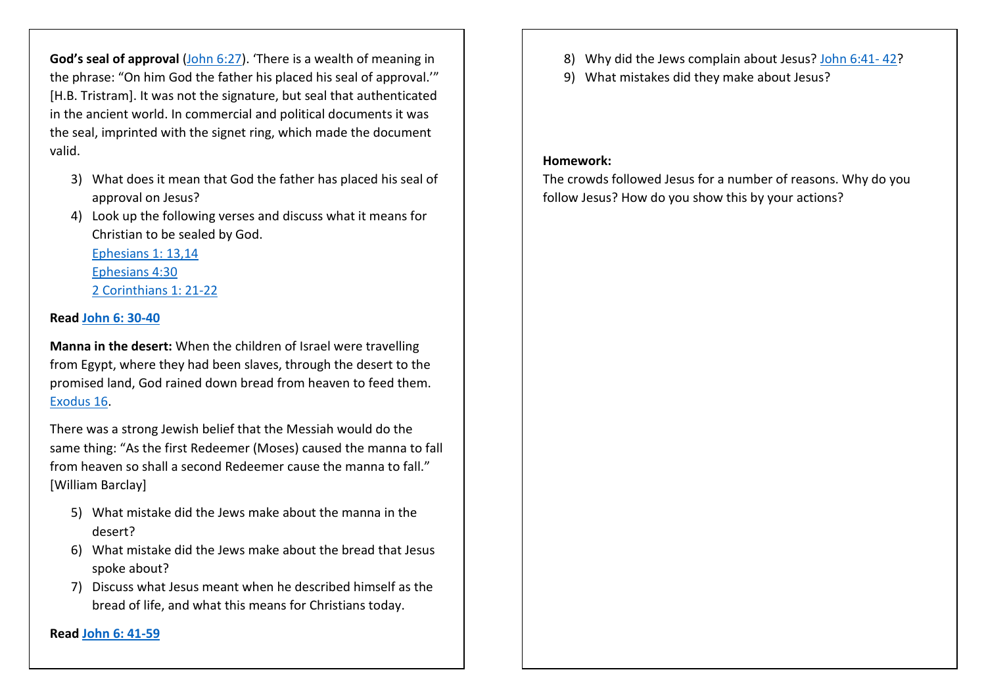God's seal of approval (John 6:27). 'There is a wealth of meaning in the phrase: "On him God the father his placed his seal of approval.'" [H.B. Tristram]. It was not the signature, but seal that authenticated in the ancient world. In commercial and political documents it was the seal, imprinted with the signet ring, which made the document valid.

- 3) What does it mean that God the father has placed his seal of approval on Jesus?
- 4) Look up the following verses and discuss what it means for Christian to be sealed by God.

Ephesians 1: 13,14Ephesians 4:302 Corinthians 1: 21-22

### Read John 6: 30-40

Manna in the desert: When the children of Israel were travelling from Egypt, where they had been slaves, through the desert to the promised land, God rained down bread from heaven to feed them. Exodus 16.

There was a strong Jewish belief that the Messiah would do the same thing: "As the first Redeemer (Moses) caused the manna to fall from heaven so shall a second Redeemer cause the manna to fall." [William Barclay]

- 5) What mistake did the Jews make about the manna in the desert?
- 6) What mistake did the Jews make about the bread that Jesus spoke about?
- 7) Discuss what Jesus meant when he described himself as the bread of life, and what this means for Christians today.

Read John 6: 41-59

- 8) Why did the Jews complain about Jesus? John 6:41-42?
- 9) What mistakes did they make about Jesus?

#### Homework:

The crowds followed Jesus for a number of reasons. Why do you follow Jesus? How do you show this by your actions?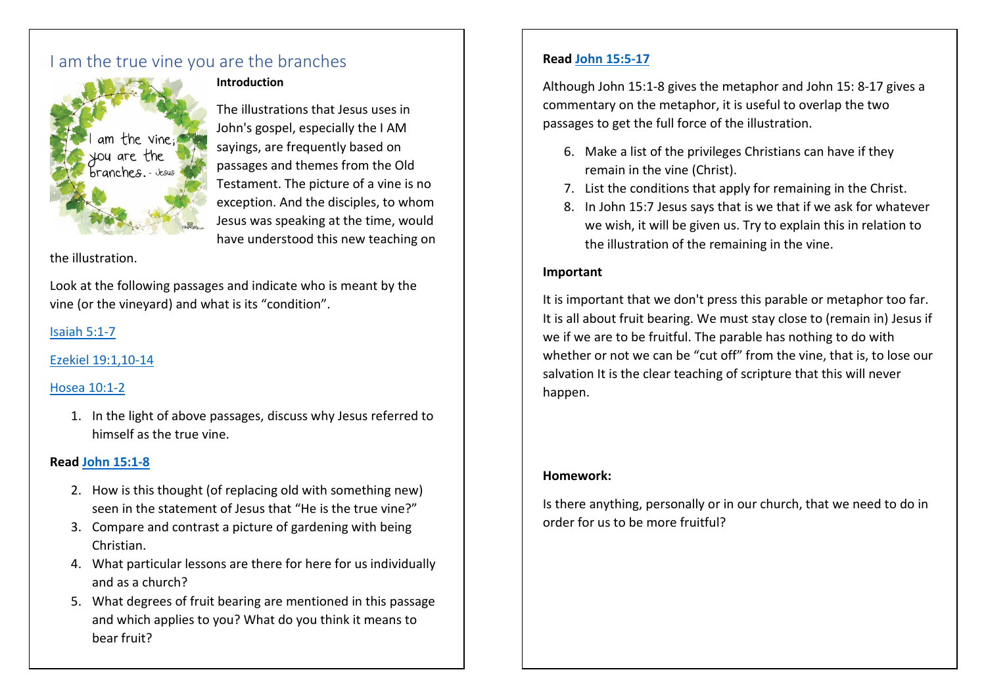## I am the true vine you are the branches



#### Introduction

The illustrations that Jesus uses in John's gospel, especially the I AM sayings, are frequently based on passages and themes from the Old Testament. The picture of a vine is no exception. And the disciples, to whom Jesus was speaking at the time, would have understood this new teaching on

the illustration.

Look at the following passages and indicate who is meant by the vine (or the vineyard) and what is its "condition".

### Isaiah 5:1-7

### Ezekiel 19:1,10-14

### Hosea 10:1-2

1. In the light of above passages, discuss why Jesus referred to himself as the true vine.

### Read John 15:1-8

- 2. How is this thought (of replacing old with something new) seen in the statement of Jesus that "He is the true vine?"
- 3. Compare and contrast a picture of gardening with being Christian.
- 4. What particular lessons are there for here for us individually and as a church?
- 5. What degrees of fruit bearing are mentioned in this passage and which applies to you? What do you think it means to bear fruit?

### Read John 15:5-17

Although John 15:1-8 gives the metaphor and John 15: 8-17 gives a commentary on the metaphor, it is useful to overlap the two passages to get the full force of the illustration.

- 6. Make a list of the privileges Christians can have if they remain in the vine (Christ).
- 7. List the conditions that apply for remaining in the Christ.
- 8. In John 15:7 Jesus says that is we that if we ask for whatever we wish, it will be given us. Try to explain this in relation to the illustration of the remaining in the vine.

### Important

It is important that we don't press this parable or metaphor too far. It is all about fruit bearing. We must stay close to (remain in) Jesus if we if we are to be fruitful. The parable has nothing to do with whether or not we can be "cut off" from the vine, that is, to lose our salvation It is the clear teaching of scripture that this will never happen.

### Homework:

Is there anything, personally or in our church, that we need to do in order for us to be more fruitful?